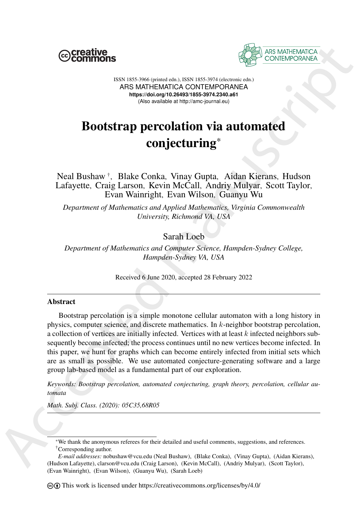



ISSN 1855-3966 (printed edn.), ISSN 1855-3974 (electronic edn.) ARS MATHEMATICA CONTEMPORANEA **https://doi.org/10.26493/1855-3974.2340.a61** (Also available at http://amc-journal.eu)

# Bootstrap percolation via automated conjecturing\*

Neal Bushaw † , Blake Conka, Vinay Gupta, Aidan Kierans, Hudson Lafayette, Craig Larson, Kevin McCall, Andriy Mulyar, Scott Taylor, Evan Wainright, Evan Wilson, Guanyu Wu

*Department of Mathematics and Applied Mathematics, Virginia Commonwealth University, Richmond VA, USA*

# Sarah Loeb

*Department of Mathematics and Computer Science, Hampden-Sydney College, Hampden-Sydney VA, USA*

Received 6 June 2020, accepted 28 February 2022

## **Abstract**

**EXERCISE THE SECTION CONTRESS (EXECTIVE CONTRESS)**<br>
ASSESS (2007) ASSESS (2007) ASSESS (2007) ASSESS (2007) ASSESS (2007) ASSESS (2007) ASSESS (2007) ASSESS (2008) AND **ACCEDITATION** (2007) AND **ACCEDITATION** (2007) AND Bootstrap percolation is a simple monotone cellular automaton with a long history in physics, computer science, and discrete mathematics. In k-neighbor bootstrap percolation, a collection of vertices are initially infected. Vertices with at least  $k$  infected neighbors subsequently become infected; the process continues until no new vertices become infected. In this paper, we hunt for graphs which can become entirely infected from initial sets which are as small as possible. We use automated conjecture-generating software and a large group lab-based model as a fundamental part of our exploration.

*Keywords: Bootstrap percolation, automated conjecturing, graph theory, percolation, cellular automata*

*Math. Subj. Class. (2020): 05C35,68R05*

<sup>\*</sup>We thank the anonymous referees for their detailed and useful comments, suggestions, and references. †Corresponding author.

*E-mail addresses:* nobushaw@vcu.edu (Neal Bushaw), (Blake Conka), (Vinay Gupta), (Aidan Kierans), (Hudson Lafayette), clarson@vcu.edu (Craig Larson), (Kevin McCall), (Andriy Mulyar), (Scott Taylor), (Evan Wainright), (Evan Wilson), (Guanyu Wu), (Sarah Loeb)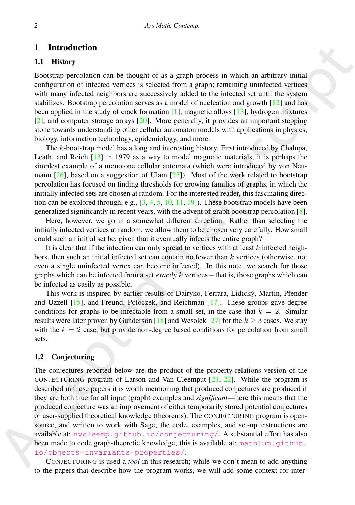# 1 Introduction

## 1.1 History

Bootstrap percolation can be thought of as a graph process in which an arbitrary initial configuration of infected vertices is selected from a graph; remaining uninfected vertices with many infected neighbors are successively added to the infected set until the system stabilizes. Bootstrap percolation serves as a model of nucleation and growth [12] and has been applied in the study of crack formation  $[1]$ , magnetic alloys  $[13]$ , hydrogen mixtures [2], and computer storage arrays [20]. More generally, it provides an important stepping stone towards understanding other cellular automaton models with applications in physics, biology, information technology, epidemiology, and more.

The k-bootstrap model has a long and interesting history. First introduced by Chalupa, Leath, and Reich [13] in 1979 as a way to model magnetic materials, it is perhaps the simplest example of a monotone cellular automata (which were introduced by von Neumann  $[26]$ , based on a suggestion of Ulam  $[25]$ ). Most of the work related to bootstrap percolation has focused on finding thresholds for growing families of graphs, in which the initially infected sets are chosen at random. For the interested reader, this fascinating direction can be explored through, e.g.,  $[3, 4, 5, 10, 11, 19]$ ). These bootstrap models have been generalized significantly in recent years, with the advent of graph bootstrap percolation [8].

Here, however, we go in a somewhat different direction. Rather than selecting the initially infected vertices at random, we allow them to be chosen very carefully. How small could such an initial set be, given that it eventually infects the entire graph?

It is clear that if the infection can only spread to vertices with at least  $k$  infected neighbors, then such an initial infected set can contain no fewer than  $k$  vertices (otherwise, not even a single uninfected vertex can become infected). In this note, we search for those graphs which can be infected from a set *exactly* k vertices – that is, those graphs which can be infected as easily as possible.

This work is inspired by earlier results of Dairyko, Ferrara, Lidický, Martin, Pfender and Uzzell [15], and Freund, Poloczek, and Reichman [17]. These groups gave degree conditions for graphs to be infectable from a small set, in the case that  $k = 2$ . Similar results were later proven by Gunderson [18] and Wesolek [27] for the  $k \geq 3$  cases. We stay with the  $k = 2$  case, but provide non-degree based conditions for percolation from small sets.

# 1.2 Conjecturing

**1** Interduction<br>
1 History<br>
1 History<br>
1 History<br>
1 History<br>
Becost[a](#page-12-10)n can be the<br>substitute it is a graph process in which an athitrary initial<br>
configuration can be interded verical enters a bond of more<br>based and proof The conjectures reported below are the product of the property-relations version of the CONJECTURING program of Larson and Van Cleemput [21, 22]. While the program is described in these papers it is worth mentioning that produced conjectures are produced if they are both true for all input (graph) examples and *significant*—here this means that the produced conjecture was an improvement of either temporarily stored potential conjectures or user-supplied theoretical knowledge (theorems). The CONJECTURING program is opensource, and written to work with Sage; the code, examples, and set-up instructions are available at: nvcleemp.github.io/conjecturing/. A substantial effort has also been made to code graph-theoretic knowledge; this is available at: math1um.qithub. io/objects-invariants-properties/.

CONJECTURING is used a *tool* in this research; while we don't mean to add anything to the papers that describe how the program works, we will add some context for inter-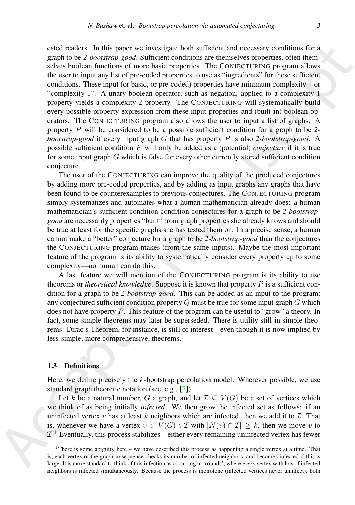stations. In this paper we investigate both with<br>Early comparison and encodeny conditions and the set of the set of the<br>set of the set of the set of the set of the set of the set of the set of<br>the set of the set of the se ested readers. In this paper we investigate both sufficient and necessary conditions for a graph to be *2-bootstrap-good*. Sufficient conditions are themselves properties, often themselves boolean functions of more basic properties. The CONJECTURING program allows the user to input any list of pre-coded properties to use as "ingredients" for these sufficient conditions. These input (or basic, or pre-coded) properties have minimum complexity—or "complexity-1". A unary boolean operator, such as negation, applied to a complexity-1 property yields a complexity-2 property. The CONJECTURING will systematically build every possible property-expression from these input properties and (built-in) boolean operators. The CONJECTURING program also allows the user to input a list of graphs. A property P will be considered to be a possible sufficient condition for a graph to be *2 bootstrap-good* if every input graph G that has property P is also *2-bootstrap-good*. A possible sufficient condition P will only be added as a (potential) *conjecture* if it is true for some input graph  $G$  which is false for every other currently stored sufficient condition conjecture.

The user of the CONJECTURING can improve the quality of the produced conjectures by adding more pre-coded properties, and by adding as input graphs any graphs that have been found to be counterexamples to previous conjectures. The CONJECTURING program simply systematizes and automates what a human mathematician already does: a human mathematician's sufficient condition condition conjectures for a graph to be *2-bootstrapgood* are necessarily properties "built" from graph properties she already knows and should be true at least for the specific graphs she has tested them on. In a precise sense, a human cannot make a "better" conjecture for a graph to be *2-bootstrap-good* than the conjectures the CONJECTURING program makes (from the same inputs). Maybe the most important feature of the program is its ability to systematically consider every property up to some complexity—no human can do this.

A last feature we will mention of the CONJECTURING program is its ability to use theorems or *theoretical knowledge*. Suppose it is known that property P is a sufficient condition for a graph to be *2-bootstrap-good*. This can be added as an input to the program: any conjectured sufficient condition property  $Q$  must be true for some input graph  $G$  which does not have property  $P$ . This feature of the program can be useful to "grow" a theory. In fact, some simple theorems may later be superseded. There is utility still in simple theorems: Dirac's Theorem, for instance, is still of interest—even though it is now implied by less-simple, more comprehensive, theorems.

## 1.3 Definitions

Here, we define precisely the  $k$ -bootstrap percolation model. Wherever possible, we use standard graph theoretic notation (see, e.g., [7]).

Let k be a natural number, G a graph, and let  $\mathcal{I} \subset V(G)$  be a set of vertices which we think of as being initially *infected*. We then grow the infected set as follows: if an uninfected vertex v has at least k neighbors which are infected, then we add it to  $\mathcal{I}$ . That is, whenever we have a vertex  $v \in V(G) \setminus \mathcal{I}$  with  $|N(v) \cap \mathcal{I}| \geq k$ , then we move v to  $\mathcal{I}$ .<sup>1</sup> Eventually, this process stabilizes – either every remaining uninfected vertex has fewer

<sup>&</sup>lt;sup>1</sup>There is some abiguity here – we have described this process as happening a single vertex at a time. That is, each vertex of the graph in sequence checks its number of infected neighbors, and becomes infected if this is large. It is more standard to think of this infection as occurring in 'rounds', where *every* vertex with lots of infected neighbors is infected simultaneously. Because the process is monotone (infected vertices never uninfect), both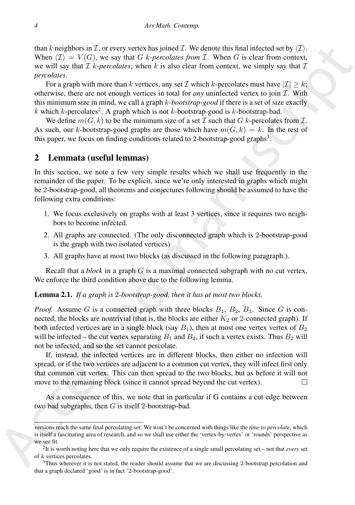than k neighbors in  $\mathcal{I}$ , or every vertex has joined  $\mathcal{I}$ . We denote this final infected set by  $\langle \mathcal{I} \rangle$ . When  $\langle \mathcal{I} \rangle = V(G)$ , we say that G k-percolates from  $\mathcal{I}$ . When G is clear from context, we will say that  $\mathcal I$  k-*percolates*; when k is also clear from context, we simply say that  $\mathcal I$ *percolates*.

For a graph with more than k vertices, any set  $\mathcal I$  which k-percolates must have  $|\mathcal I| > k$ ; otherwise, there are not enough vertices in total for *any* uninfected vertex to join  $\mathcal{I}$ . With this minimum size in mind, we call a graph k*-bootstrap-good* if there is a set of size exactly k which k-percolates<sup>2</sup>. A graph which is not k-bootstrap-good is k-bootstrap-bad.

We define  $m(G, k)$  to be the minimum size of a set  $\mathcal I$  such that  $G$  k-percolates from  $\mathcal I$ . As such, our k-bootstrap-good graphs are those which have  $m(G, k) = k$ . In the rest of this paper, we focus on finding conditions related to 2-bootstrap-good graphs<sup>3</sup>.

# 2 Lemmata (useful lemmas)

In this section, we note a few very simple results which we shall use frequently in the remainder of the paper. To be explicit, since we're only interested in graphs which might be 2-bootstrap-good, all theorems and conjectures following should be assumed to have the following extra conditions:

- 1. We focus exclusively on graphs with at least 3 vertices, since it requires two neighbors to become infected.
- 2. All graphs are connected. (The only disconnected graph which is 2-bootstrap-good is the graph with two isolated vertices)
- 3. All graphs have at most two blocks (as discussed in the following paragraph.).

Recall that a *block* in a graph G is a maximal connected subgraph with no cut vertex. We enforce the third condition above due to the following lemma.

#### Lemma 2.1. *If a graph is* 2*-bootstrap-good, then it has at most two blocks.*

than *k* neighbors in *Z*, or every ventor has ignored X. We donote this fund infected well to the *N* (*X*). We say that *Z b*-*percoducts*, two *x k* also char for measures with *n s* is the *N* (*X*) and *X k Proof.* Assume G is a connected graph with three blocks  $B_1$ ,  $B_2$ ,  $B_3$ . Since G is connected, the blocks are nontrivial (that is, the blocks are either  $K_2$  or 2-connected graph). If both infected vertices are in a single block (say  $B_1$ ), then at most one vertex vertex of  $B_2$ will be infected – the cut vertex separating  $B_1$  and  $B_2$ , if such a vertex exists. Thus  $B_2$  will not be infected, and so the set cannot percolate.

If, instead, the infected vertices are in different blocks, then either no infection will spread, or if the two vertices are adjacent to a common cut vertex, they will infect first only that common cut vertex. This can then spread to the two blocks, but as before it will not move to the remaining block (since it cannot spread beyond the cut vertex).

As a consequence of this, we note that in particular if G contains a cut edge between two bad subgraphs, then  $G$  is itself 2-bootstrap-bad.

versions reach the same final percolating set. We won't be concerned with things like the *time to percolate*, which is itself a fascinating area of research, and so we shall use either the 'vertex-by-vertex' or 'rounds' perspective as we see fit.

<sup>2</sup> It is worth noting here that we only require the existence of a single small percolating set – not that *every* set of k vertices percolates.

<sup>&</sup>lt;sup>3</sup>Thus wherever it is not stated, the reader should assume that we are discussing 2-bootstrap percolation and that a graph declared 'good' is in fact '2-bootstrap-good'.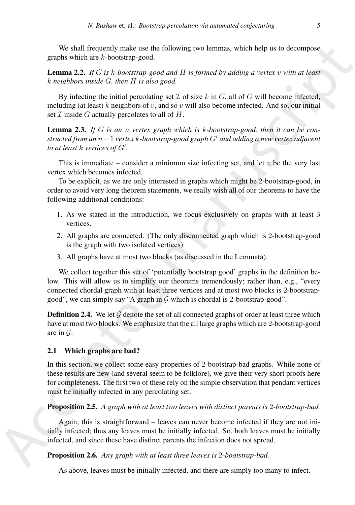We shall frequently make use the following two lemmas, which help us to decompose graphs which are k-bootstrap-good.

Lemma 2.2. *If* G *is* k*-bootstrap-good and* H *is formed by adding a vertex* v *with at least* k *neighbors inside* G*, then* H *is also good.*

By infecting the initial percolating set  $\mathcal I$  of size k in  $G$ , all of  $G$  will become infected, including (at least) k neighbors of v, and so v will also become infected. And so, our initial set  $\mathcal I$  inside  $G$  actually percolates to all of  $H$ .

<span id="page-4-0"></span>Lemma 2.3. *If* G *is an* n *vertex graph which is* k*-bootstrap-good, then it can be constructed from an* n−1 *vertex* k*-bootstrap-good graph* G′ *and adding a new vertex adjacent to at least* k *vertices of* G′ *.*

This is immediate – consider a minimum size infecting set, and let  $v$  be the very last vertex which becomes infected.

To be explicit, as we are only interested in graphs which might be 2-bootstrap-good, in order to avoid very long theorem statements, we really wish all of our theorems to have the following additional conditions:

- 1. As we stated in the introduction, we focus exclusively on graphs with at least 3 vertices.
- 2. All graphs are connected. (The only disconnected graph which is 2-bootstrap-good is the graph with two isolated vertices)
- 3. All graphs have at most two blocks (as discussed in the Lemmata).

We collect together this set of 'potentially bootstrap good' graphs in the definition below. This will allow us to simplify our theorems tremendously; rather than, e.g., "every connected chordal graph with at least three vertices and at most two blocks is 2-bootstrapgood", we can simply say "A graph in  $\overline{G}$  which is chordal is 2-bootstrap-good".

**Definition 2.4.** We let  $\mathcal G$  denote the set of all connected graphs of order at least three which have at most two blocks. We emphasize that the all large graphs which are 2-bootstrap-good are in G.

## 2.1 Which graphs are bad?

We shall frequently make use the following two lemmas, which help as to decompose.<br> **Lemma 2.**  $L_f$  (*I* is bototrapy-good.<br> **Lemma 2.**  $\mu$  is bototrapy-good.<br> **Lemma 2.**  $\mu$  is bototrapy-good.<br> **Lemma 2.**  $\mu$  is botot In this section, we collect some easy properties of 2-bootstrap-bad graphs. While none of these results are new (and several seem to be folklore), we give their very short proofs here for completeness. The first two of these rely on the simple observation that pendant vertices must be initially infected in any percolating set.

## Proposition 2.5. *A graph with at least two leaves with distinct parents is* 2*-bootstrap-bad.*

Again, this is straightforward – leaves can never become infected if they are not initially infected; thus any leaves must be initially infected. So, both leaves must be initially infected, and since these have distinct parents the infection does not spread.

# Proposition 2.6. *Any graph with at least three leaves is* 2*-bootstrap-bad.*

As above, leaves must be initially infected, and there are simply too many to infect.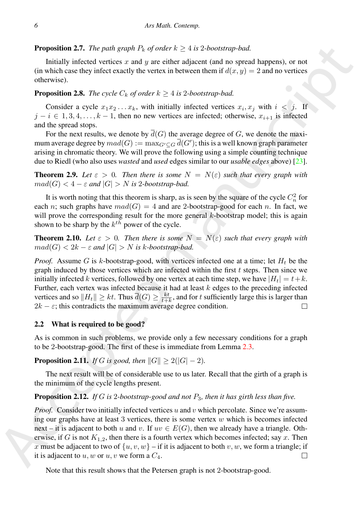## **Proposition 2.7.** *The path graph*  $P_k$  *of order*  $k \geq 4$  *is* 2*-bootstrap-bad.*

Initially infected vertices x and  $\gamma$  are either adjacent (and no spread happens), or not (in which case they infect exactly the vertex in between them if  $d(x, y) = 2$  and no vertices otherwise).

## **Proposition 2.8.** *The cycle*  $C_k$  *of order*  $k \geq 4$  *is 2-bootstrap-bad.*

Consider a cycle  $x_1x_2...x_k$ , with initially infected vertices  $x_i, x_j$  with  $i < j$ . If  $j - i \in {1, 3, 4, \ldots, k - 1}$ , then no new vertices are infected; otherwise,  $x_{i+1}$  is infected and the spread stops.

For the next results, we denote by  $\overline{d}(G)$  the average degree of G, we denote the maximum average degree by  $mad(G) := \max_{G' \subseteq G} \overline{d}(G')$ ; this is a well known graph parameter arising in chromatic theory. We will prove the following using a simple counting technique due to Riedl (who also uses *wasted* and *used* edges similar to our *usable edges* above) [23].

**Theorem 2.9.** Let  $\varepsilon > 0$ . Then there is some  $N = N(\varepsilon)$  such that every graph with  $mad(G) < 4 - \varepsilon$  and  $|G| > N$  is 2*-bootstrap-bad.* 

It is worth noting that this theorem is sharp, as is seen by the square of the cycle  $C_n^2$  for each n; such graphs have  $mad(G) = 4$  and are 2-bootstrap-good for each n. In fact, we will prove the corresponding result for the more general  $k$ -bootstrap model; this is again shown to be sharp by the  $k^{th}$  power of the cycle.

**Theorem 2.10.** Let  $\varepsilon > 0$ . Then there is some  $N = N(\varepsilon)$  such that every graph with  $mad(G) < 2k - \varepsilon$  and  $|G| > N$  is k-bootstrap-bad.

**Proposition 2.7.** The *yreli*  $h_{X}$  of ords  $h_{Y} > 4 \times 2$ -bounds-phone  $h_{Y} > 4$  and the proposition 2.1. The galaxy of  $h_{Y}$  of  $h_{Y}$  ords  $h_{Y}$  ords  $h_{Y}$  and  $h_{Y}$  can be verificated with the verific except that *Proof.* Assume G is k-bootstrap-good, with vertices infected one at a time; let  $H_t$  be the graph induced by those vertices which are infected within the first  $t$  steps. Then since we initially infected k vertices, followed by one vertex at each time step, we have  $|H_t| = t + k$ . Further, each vertex was infected because it had at least  $k$  edges to the preceding infected vertices and so  $||H_t|| \geq kt$ . Thus  $\overline{d}(G) \geq \frac{kt}{t+k}$ , and for t sufficiently large this is larger than  $2k - \varepsilon$ ; this contradicts the maximum average degree condition.

#### 2.2 What is required to be good?

As is common in such problems, we provide only a few necessary conditions for a graph to be 2-bootstrap-good. The first of these is immediate from Lemma 2.3.

**Proposition 2.11.** *If* G *is good, then*  $||G|| \ge 2(|G| - 2)$ *.* 

The next result will be of considerable use to us later. Recall that the girth of a graph is the minimum of the cycle lengths present.

#### Proposition 2.12. *If* G *is* 2*-bootstrap-good and not* P3*, then it has girth less than five.*

*Proof.* Consider two initially infected vertices u and v which percolate. Since we're assuming our graphs have at least 3 vertices, there is some vertex  $w$  which is becomes infected next – it is adjacent to both u and v. If  $uv \in E(G)$ , then we already have a triangle. Otherwise, if G is not  $K_{1,2}$ , then there is a fourth vertex which becomes infected; say x. Then x must be adjacent to two of  $\{u, v, w\}$  – if it is adjacent to both v, w, we form a triangle; if it is adjacent to  $u, w$  or  $u, v$  we form a  $C_4$ .

Note that this result shows that the Petersen graph is not 2-bootstrap-good.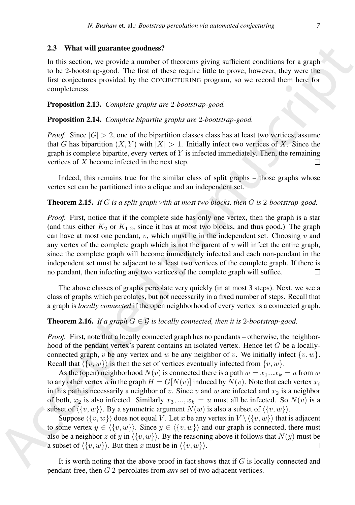#### 2.3 What will guarantee goodness?

In this section, we provide a number of theorems giving sufficient conditions for a graph to be 2-bootstrap-good. The first of these require little to prove; however, they were the first conjectures provided by the CONJECTURING program, so we record them here for completeness.

#### Proposition 2.13. *Complete graphs are* 2*-bootstrap-good.*

Proposition 2.14. *Complete bipartite graphs are* 2*-bootstrap-good.*

*Proof.* Since  $|G| > 2$ , one of the bipartition classes class has at least two vertices; assume that G has bipartition  $(X, Y)$  with  $|X| > 1$ . Initially infect two vertices of X. Since the graph is complete bipartite, every vertex of  $Y$  is infected immediately. Then, the remaining vertices of X become infected in the next step.

Indeed, this remains true for the similar class of split graphs – those graphs whose vertex set can be partitioned into a clique and an independent set.

#### Theorem 2.15. *If* G *is a split graph with at most two blocks, then* G *is* 2*-bootstrap-good.*

23 What will guarantee goodness?<br>
The histography and the stockers giving sufficient conditions for a graph<br>
In this excitography and The first of these capital tiftels on power however, they were the<br>
In the conjectures *Proof.* First, notice that if the complete side has only one vertex, then the graph is a star (and thus either  $K_2$  or  $K_{1,2}$ , since it has at most two blocks, and thus good.) The graph can have at most one pendant,  $v$ , which must lie in the independent set. Choosing  $v$  and any vertex of the complete graph which is not the parent of  $v$  will infect the entire graph, since the complete graph will become immediately infected and each non-pendant in the independent set must be adjacent to at least two vertices of the complete graph. If there is no pendant, then infecting any two vertices of the complete graph will suffice.

The above classes of graphs percolate very quickly (in at most 3 steps). Next, we see a class of graphs which percolates, but not necessarily in a fixed number of steps. Recall that a graph is *locally connected* if the open neighborhood of every vertex is a connected graph.

#### **Theorem 2.16.** *If a graph*  $G \in \mathcal{G}$  *is locally connected, then it is 2-bootstrap-good.*

*Proof.* First, note that a locally connected graph has no pendants – otherwise, the neighborhood of the pendant vertex's parent contains an isolated vertex. Hence let  $G$  be a locallyconnected graph, v be any vertex and w be any neighbor of v. We initially infect  $\{v, w\}$ . Recall that  $\langle \{v, w\} \rangle$  is then the set of vertices eventually infected from  $\{v, w\}$ .

As the (open) neighborhood  $N(v)$  is connected there is a path  $w = x_1...x_k = u$  from w to any other vertex u in the graph  $H = G[N(v)]$  induced by  $N(v)$ . Note that each vertex  $x_i$ in this path is necessarily a neighbor of v. Since v and w are infected and  $x_2$  is a neighbor of both,  $x_2$  is also infected. Similarly  $x_3, ..., x_k = u$  must all be infected. So  $N(v)$  is a subset of  $\langle \{v, w\} \rangle$ . By a symmetric argument  $N(w)$  is also a subset of  $\langle \{v, w\} \rangle$ .

Suppose  $\langle \{v, w\} \rangle$  does not equal V. Let x be any vertex in  $V \setminus \langle \{v, w\} \rangle$  that is adjacent to some vertex  $y \in \langle \{v, w\} \rangle$ . Since  $y \in \langle \{v, w\} \rangle$  and our graph is connected, there must also be a neighbor z of y in  $\langle \{v, w\} \rangle$ . By the reasoning above it follows that  $N(y)$  must be a subset of  $\langle \{v, w\} \rangle$ . But then x must be in  $\langle \{v, w\} \rangle$ .

It is worth noting that the above proof in fact shows that if  $G$  is locally connected and pendant-free, then G 2-percolates from *any* set of two adjacent vertices.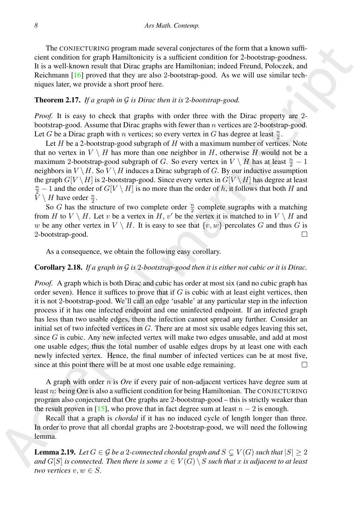The CONJECTURING program made several conjectures of the form that a known sufficient condition for graph Hamiltonicity is a sufficient condition for 2-bootstrap-goodness. It is a well-known result that Dirac graphs are Hamiltonian; indeed Freund, Poloczek, and Reichmann [16] proved that they are also 2-bootstrap-good. As we will use similar techniques later, we provide a short proof here.

#### Theorem 2.17. *If a graph in* G *is Dirac then it is* 2*-bootstrap-good.*

*Proof.* It is easy to check that graphs with order three with the Dirac property are 2bootstrap-good. Assume that Dirac graphs with fewer than  $n$  vertices are 2-bootstrap-good. Let G be a Dirac graph with n vertices; so every vertex in G has degree at least  $\frac{n}{2}$ .

Let  $H$  be a 2-bootstrap-good subgraph of  $H$  with a maximum number of vertices. Note that no vertex in  $V \setminus H$  has more than one neighbor in H, otherwise H would not be a maximum 2-bootstrap-good subgraph of G. So every vertex in  $V \setminus H$  has at least  $\frac{n}{2} - 1$ neighbors in  $V \setminus H$ . So  $V \setminus H$  induces a Dirac subgraph of G. By our inductive assumption the graph  $G[V \setminus H]$  is 2-bootstrap-good. Since every vertex in  $G[V \setminus H]$  has degree at least  $\frac{n}{2} - 1$  and the order of  $G[V \setminus H]$  is no more than the order of h, it follows that both H and  $\bar{V} \setminus H$  have order  $\frac{n}{2}$ .

So G has the structure of two complete order  $\frac{n}{2}$  complete sugraphs with a matching from H to  $V \setminus H$ . Let v be a vertex in H, v' be the vertex it is matched to in  $V \setminus H$  and w be any other vertex in  $V \setminus H$ . It is easy to see that  $\{v, w\}$  percolates G and thus G is 2-bootstrap-good.

As a consequence, we obtain the following easy corollary.

#### Corollary 2.18. *If a graph in* G *is* 2*-bootstrap-good then it is either not cubic or it is Dirac.*

The construction of paramolads second conjectures of the form that known suffi-<br>fraction case (see the form of the form of the form of the form of the state.<br>This average manuscript product that the state is a sufficient *Proof.* A graph which is both Dirac and cubic has order at most six (and no cubic graph has order seven). Hence it suffices to prove that if  $G$  is cubic with at least eight vertices, then it is not 2-bootstrap-good. We'll call an edge 'usable' at any particular step in the infection process if it has one infected endpoint and one uninfected endpoint. If an infected graph has less than two usable edges, then the infection cannot spread any further. Consider an initial set of two infected vertices in G. There are at most six usable edges leaving this set, since  $G$  is cubic. Any new infected vertex will make two edges unusable, and add at most one usable edges; thus the total number of usable edges drops by at least one with each newly infected vertex. Hence, the final number of infected vertices can be at most five, since at this point there will be at most one usable edge remaining.

A graph with order n is *Ore* if every pair of non-adjacent vertices have degree sum at least n: being Ore is also a sufficient condition for being Hamiltonian. The CONJECTURING program also conjectured that Ore graphs are 2-bootstrap-good – this is strictly weaker than the result proven in [15], who prove that in fact degree sum at least  $n - 2$  is enough.

Recall that a graph is *chordal* if it has no induced cycle of length longer than three. In order to prove that all chordal graphs are 2-bootstrap-good, we will need the following lemma.

<span id="page-7-0"></span>**Lemma 2.19.** *Let*  $G \in \mathcal{G}$  *be a* 2-connected chordal graph and  $S \subsetneq V(G)$  such that  $|S| \geq 2$ *and*  $G[S]$  *is connected. Then there is some*  $x \in V(G) \setminus S$  *such that* x *is adjacent to at least two vertices*  $v, w \in S$ .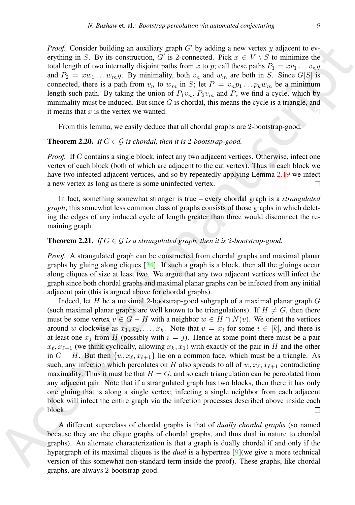*Proof.* Consider building an auxiliary graph  $G'$  by adding a new vertex y adjacent to everything in S. By its construction, G' is 2-connected. Pick  $x \in V \setminus S$  to minimize the total length of two internally disjoint paths from x to p; call these paths  $P_1 = xv_1 \dots v_n y_n$ and  $P_2 = xw_1 \ldots w_my$ . By minimality, both  $v_n$  and  $w_m$  are both in S. Since  $G[S]$  is connected, there is a path from  $v_n$  to  $w_m$  in S; let  $P = v_n p_1 \dots p_k w_m$  be a minimum length such path. By taking the union of  $P_1v_n$ ,  $P_2v_m$  and P, we find a cycle, which by minimality must be induced. But since  $G$  is chordal, this means the cycle is a triangle, and it means that  $x$  is the vertex we wanted.

From this lemma, we easily deduce that all chordal graphs are 2-bootstrap-good.

## <span id="page-8-0"></span>**Theorem 2.20.** *If*  $G \in \mathcal{G}$  *is chordal, then it is 2-bootstrap-good.*

*Proof.* If G contains a single block, infect any two adjacent vertices. Otherwise, infect one vertex of each block (both of which are adjacent to the cut vertex). Thus in each block we have two infected adjacent vertices, and so by repeatedly applying Lemma 2.19 we infect a new vertex as long as there is some uninfected vertex.

In fact, something somewhat stronger is true – every chordal graph is a *strangulated graph*; this somewhat less common class of graphs consists of those graphs in which deleting the edges of any induced cycle of length greater than three would disconnect the remaining graph.

## **Theorem 2.21.** *If*  $G \in \mathcal{G}$  *is a strangulated graph, then it is 2-bootstrap-good.*

*Proof.* A strangulated graph can be constructed from chordal graphs and maximal planar graphs by gluing along cliques  $[24]$ . If such a graph is a block, then all the gluings occur along cliques of size at least two. We argue that any two adjacent vertices will infect the graph since both chordal graphs and maximal planar graphs can be infected from any initial adjacent pair (this is argued above for chordal graphs).

*Proof.* Growi[d](#page-13-6)s tholiding an auxiliary graph of by the disting a new vector,  $\sqrt{s}$  is a constraining, of by a computed matrix the set of  $N_1 = n_1 \ldots n_n$ ,  $n_2 = 1$ ,  $n_3 = 2$ ,  $n_4 = 2$ ,  $n_5 = 2$ ,  $n_6 = 2$ ,  $n_7 = 2$ ,  $n_8 =$ Indeed, let  $H$  be a maximal 2-bootstrap-good subgraph of a maximal planar graph  $G$ (such maximal planar graphs are well known to be triangulations). If  $H \neq G$ , then there must be some vertex  $v \in G - H$  with a neighbor  $w \in H \cap N(v)$ . We orient the vertices around w clockwise as  $x_1, x_2, \ldots, x_k$ . Note that  $v = x_i$  for some  $i \in [k]$ , and there is at least one  $x_j$  from H (possibly with  $i = j$ ). Hence at some point there must be a pair  $x_{\ell}, x_{\ell+1}$  (we think cyclically, allowing  $x_k, x_1$ ) with exactly of the pair in H and the other in  $G - H$ . But then  $\{w, x_{\ell}, x_{\ell+1}\}\$ lie on a common face, which must be a triangle. As such, any infection which percolates on H also spreads to all of  $w, x_{\ell}, x_{\ell+1}$  contradicting maximality. Thus it must be that  $H = G$ , and so each triangulation can be percolated from any adjacent pair. Note that if a strangulated graph has two blocks, then there it has only one gluing that is along a single vertex; infecting a single neighbor from each adjacent block will infect the entire graph via the infection processes described above inside each block.

A different superclass of chordal graphs is that of *dually chordal graphs* (so named because they are the clique graphs of chordal graphs, and thus dual in nature to chordal graphs). An alternate characterization is that a graph is dually chordal if and only if the hypergraph of its maximal cliques is the *dual* is a hypertree [9](we give a more technical version of this somewhat non-standard term inside the proof). These graphs, like chordal graphs, are always 2-bootstrap-good.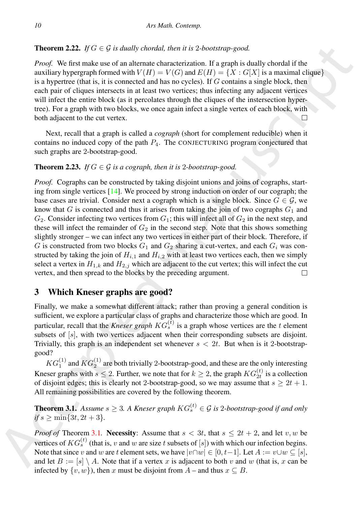# **Theorem 2.22.** *If*  $G \in \mathcal{G}$  *is dually chordal, then it is 2-bootstrap-good.*

*Proof.* We first make use of an alternate characterization. If a graph is dually chordal if the auxiliary hypergraph formed with  $V(H) = V(G)$  and  $E(H) = \{X : G[X]$  is a maximal clique is a hypertree (that is, it is connected and has no cycles). If  $G$  contains a single block, then each pair of cliques intersects in at least two vertices; thus infecting any adjacent vertices will infect the entire block (as it percolates through the cliques of the instersection hypertree). For a graph with two blocks, we once again infect a single vertex of each block, with both adjacent to the cut vertex.

Next, recall that a graph is called a *cograph* (short for complement reducible) when it contains no induced copy of the path  $P_4$ . The CONJECTURING program conjectured that such graphs are 2-bootstrap-good.

## **Theorem 2.23.** *If*  $G \in \mathcal{G}$  *is a cograph, then it is 2-bootstrap-good.*

Theorem 3.2.2.  $f/G = G$  in doubly choroid, then it is 2-boostrony good,<br>
The particular in the case of a maximum is channel at the case of the state of the state of the state of the state of the state of the state of the st *Proof.* Cographs can be constructed by taking disjoint unions and joins of cographs, starting from single vertices [14]. We proceed by strong induction on order of our cograph; the base cases are trivial. Consider next a cograph which is a single block. Since  $G \in \mathcal{G}$ , we know that G is connected and thus it arises from taking the join of two cographs  $G_1$  and  $G_2$ . Consider infecting two vertices from  $G_1$ ; this will infect all of  $G_2$  in the next step, and these will infect the remainder of  $G_2$  in the second step. Note that this shows something slightly stronger – we can infect any two vertices in either part of their block. Therefore, if G is constructed from two blocks  $G_1$  and  $G_2$  sharing a cut-vertex, and each  $G_i$  was constructed by taking the join of  $H_{i,1}$  and  $H_{i,2}$  with at least two vertices each, then we simply select a vertex in  $H_{1,k}$  and  $H_{2,j}$  which are adjacent to the cut vertex; this will infect the cut vertex, and then spread to the blocks by the preceding argument.

# 3 Which Kneser graphs are good?

Finally, we make a somewhat different attack; rather than proving a general condition is sufficient, we explore a particular class of graphs and characterize those which are good. In particular, recall that the *Kneser graph*  $KG_s^{(t)}$  is a graph whose vertices are the t element subsets of [s], with two vertices adjacent when their corresponding subsets are disjoint. Trivially, this graph is an independent set whenever  $s < 2t$ . But when is it 2-bootstrapgood?

 $KG_1^{(1)}$  and  $KG_2^{(1)}$  are both trivially 2-bootstrap-good, and these are the only interesting Kneser graphs with  $s \le 2$ . Further, we note that for  $k \ge 2$ , the graph  $KG_{2t}^{(t)}$  is a collection of disjoint edges; this is clearly not 2-bootstrap-good, so we may assume that  $s \geq 2t + 1$ . All remaining possibilities are covered by the following theorem.

<span id="page-9-0"></span>**Theorem 3.1.** Assume  $s \geq 3$ . A Kneser graph  $KG_s^{(t)} \in \mathcal{G}$  is 2-bootstrap-good if and only  $if s \ge \min\{3t, 2t + 3\}.$ 

*Proof of* Theorem 3.1. Necessity: Assume that  $s < 3t$ , that  $s \leq 2t + 2$ , and let v, w be vertices of  $KG_s^{(t)}$  (that is, v and w are size t subsets of [s]) with which our infection begins. Note that since v and w are t element sets, we have  $|v \cap w| \in [0, t-1]$ . Let  $A := v \cup w \subseteq [s]$ , and let  $B := [s] \setminus A$ . Note that if a vertex x is adjacent to both v and w (that is, x can be infected by  $\{v, w\}$ , then x must be disjoint from A – and thus  $x \subseteq B$ .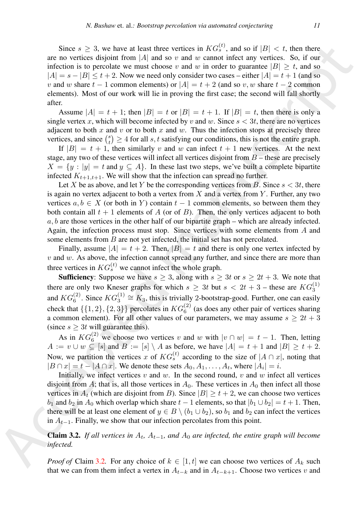Since  $2 \le 3$ , or have at least time verifies in  $K(G_1^2)$ , and so if  $|G| < 4$ , then there are not continue the probability of the state of the state of the state of the state of the state of the state of the state of t Since  $s \geq 3$ , we have at least three vertices in  $KG_s^{(t)}$ , and so if  $|B| < t$ , then there are no vertices disjoint from |A| and so v and w cannot infect any vertices. So, if our infection is to percolate we must choose v and w in order to guarantee  $|B| > t$ , and so  $|A| = s - |B| \le t + 2$ . Now we need only consider two cases – either  $|A| = t + 1$  (and so v and w share  $t - 1$  common elements) or  $|A| = t + 2$  (and so v, w share  $t - 2$  common elements). Most of our work will lie in proving the first case; the second will fall shortly after.

Assume  $|A| = t + 1$ ; then  $|B| = t$  or  $|B| = t + 1$ . If  $|B| = t$ , then there is only a single vertex x, which will become infected by v and w. Since  $s < 3t$ , there are no vertices adjacent to both x and v or to both x and w. Thus the infection stops at precisely three vertices, and since  $\binom{s}{t} \geq 4$  for all s, t satisfying our conditions, this is not the entire graph.

If  $|B| = t + 1$ , then similarly v and w can infect  $t + 1$  new vertices. At the next stage, any two of these vertices will infect all vertices disjoint from  $B$  – these are precisely  $X = \{y : |y| = t \text{ and } y \subseteq A\}$ . In these last two steps, we've built a complete bipartite infected  $K_{t+1,t+1}$ . We will show that the infection can spread no further.

Let X be as above, and let Y be the corresponding vertices from B. Since  $s < 3t$ , there is again no vertex adjacent to both a vertex from  $X$  and a vertex from  $Y$ . Further, any two vertices  $a, b \in X$  (or both in Y) contain  $t - 1$  common elements, so between them they both contain all  $t + 1$  elements of A (or of B). Then, the only vertices adjacent to both  $a, b$  are those vertices in the other half of our bipartite graph – which are already infected. Again, the infection process must stop. Since vertices with some elements from A and some elements from  $B$  are not yet infected, the initial set has not percolated.

Finally, assume  $|A| = t + 2$ . Then,  $|B| = t$  and there is only one vertex infected by  $v$  and  $w$ . As above, the infection cannot spread any further, and since there are more than three vertices in  $KG_s^{(t)}$  we cannot infect the whole graph.

**Sufficiency:** Suppose we have  $s \geq 3$ , along with  $s \geq 3t$  or  $s \geq 2t + 3$ . We note that there are only two Kneser graphs for which  $s \geq 3t$  but  $s < 2t + 3$  – these are  $KG_3^{(1)}$ and  $KG_6^{(2)}$ . Since  $KG_3^{(1)} \cong K_3$ , this is trivially 2-bootstrap-good. Further, one can easily check that  $\{\{1,2\},\{2,3\}\}\$  percolates in  $KG_6^{(2)}$  (as does any other pair of vertices sharing a common element). For all other values of our parameters, we may assume  $s \geq 2t + 3$ (since  $s \geq 3t$  will guarantee this).

As in  $KG_6^{(2)}$  we choose two vertices v and w with  $|v \cap w| = t - 1$ . Then, letting  $A := v \cup w \subseteq [s]$  and  $B := [s] \setminus A$  as before, we have  $|A| = t + 1$  and  $|B| \ge t + 2$ . Now, we partition the vertices x of  $KG_s^{(t)}$  according to the size of  $|A \cap x|$ , noting that  $|B \cap x| = t - |A \cap x|$ . We denote these sets  $A_0, A_1, \ldots, A_t$ , where  $|A_i| = i$ .

Initially, we infect vertices  $v$  and  $w$ . In the second round,  $v$  and  $w$  infect all vertices disjoint from A; that is, all those vertices in  $A_0$ . These vertices in  $A_0$  then infect all those vertices in  $A_t$  (which are disjoint from B). Since  $|B| \ge t + 2$ , we can choose two vertices  $b_1$  and  $b_2$  in  $A_0$  which overlap which share  $t - 1$  elements, so that  $|b_1 \cup b_2| = t + 1$ . Then, there will be at least one element of  $y \in B \setminus (b_1 \cup b_2)$ , so  $b_1$  and  $b_2$  can infect the vertices in  $A_{t-1}$ . Finally, we show that our infection percolates from this point.

<span id="page-10-0"></span>**Claim 3.2.** *If all vertices in*  $A_t$ ,  $A_{t-1}$ , and  $A_0$  are infected, the entire graph will become *infected.*

*Proof of* Claim 3.2. For any choice of  $k \in [1, t]$  we can choose two vertices of  $A_k$  such that we can from them infect a vertex in  $A_{t-k+1}$  and in  $A_{t-k+1}$ . Choose two vertices v and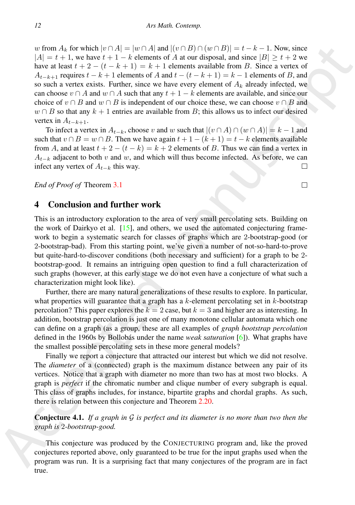as from A<sub>6</sub> for which  $|v|^2 A_1 = |w - k|$ . Also,  $|v| = |v - k - 1$ . Now, since  $|A| = t + 1$ , we have  $t + 1 - k$  clusters and all (control). Since a vector of  $\Delta t$ -stript (see that  $t + 2 - (t - k - 1)$  and  $\Delta t + 1$  cleares a smillable fr w from  $A_k$  for which  $|v \cap A| = |w \cap A|$  and  $|(v \cap B) \cap (w \cap B)| = t - k - 1$ . Now, since  $|A| = t + 1$ , we have  $t + 1 - k$  elements of A at our disposal, and since  $|B| \ge t + 2$  we have at least  $t + 2 - (t - k + 1) = k + 1$  elements available from B. Since a vertex of  $A_{t-k+1}$  requires  $t - k + 1$  elements of A and  $t - (t - k + 1) = k - 1$  elements of B, and so such a vertex exists. Further, since we have every element of  $A_k$  already infected, we can choose  $v \cap A$  and  $w \cap A$  such that any  $t + 1 - k$  elements are available, and since our choice of  $v \cap B$  and  $w \cap B$  is independent of our choice these, we can choose  $v \cap B$  and  $w \cap B$  so that any  $k + 1$  entries are available from B; this allows us to infect our desired vertex in  $A_{t-k+1}$ .

To infect a vertex in  $A_{t-k}$ , choose v and w such that  $|(v \cap A) \cap (w \cap A)| = k - 1$  and such that  $v \cap B = w \cap B$ . Then we have again  $t + 1 - (k + 1) = t - k$  elements available from A, and at least  $t + 2 - (t - k) = k + 2$  elements of B. Thus we can find a vertex in  $A_{t-k}$  adjacent to both v and w, and which will thus become infected. As before, we can infect any vertex of  $A_{t-k}$  this way.

*End of Proof of* Theorem 3.1

# 4 Conclusion and further work

This is an introductory exploration to the area of very small percolating sets. Building on the work of Dairkyo et al.  $[15]$ , and others, we used the automated conjecturing framework to begin a systematic search for classes of graphs which are 2-bootstrap-good (or 2-bootstrap-bad). From this starting point, we've given a number of not-so-hard-to-prove but quite-hard-to-discover conditions (both necessary and sufficient) for a graph to be 2 bootstrap-good. It remains an intriguing open question to find a full characterization of such graphs (however, at this early stage we do not even have a conjecture of what such a characterization might look like).

Further, there are many natural generalizations of these results to explore. In particular, what properties will guarantee that a graph has a  $k$ -element percolating set in  $k$ -bootstrap percolation? This paper explores the  $k = 2$  case, but  $k = 3$  and higher are as interesting. In addition, bootstrap percolation is just one of many monotone cellular automata which one can define on a graph (as a group, these are all examples of *graph bootstrap percolation* defined in the 1960s by Bollobás under the name *weak saturation* [6]). What graphs have the smallest possible percolating sets in these more general models?

Finally we report a conjecture that attracted our interest but which we did not resolve. The *diameter* of a (connected) graph is the maximum distance between any pair of its vertices. Notice that a graph with diameter no more than two has at most two blocks. A graph is *perfect* if the chromatic number and clique number of every subgraph is equal. This class of graphs includes, for instance, bipartite graphs and chordal graphs. As such, there is relation between this conjecture and Theorem 2.20.

Conjecture 4.1. *If a graph in* G *is perfect and its diameter is no more than two then the graph is* 2*-bootstrap-good.*

This conjecture was produced by the CONJECTURING program and, like the proved conjectures reported above, only guaranteed to be true for the input graphs used when the program was run. It is a surprising fact that many conjectures of the program are in fact true.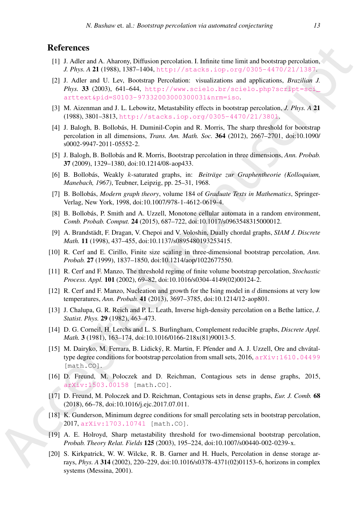# **References**

- <span id="page-12-1"></span>[1] J. Adler and A. Aharony, Diffusion percolation. I. Infinite time limit and bootstrap percolation, *J. Phys. A* 21 (1988), 1387–1404, http://stacks.iop.org/0305-4470/21/1387.
- <span id="page-12-3"></span>[2] J. Adler and U. Lev, Bootstrap Percolation: visualizations and applications, *Brazilian J. Phys.* 33 (2003), 641–644, http://www.scielo.br/scielo.php?script=sci\_ arttext&pid=S0103-97332003000300031&nrm=iso.
- <span id="page-12-5"></span>[3] M. Aizenman and J. L. Lebowitz, Metastability effects in bootstrap percolation, *J. Phys. A* 21 (1988), 3801–3813, http://stacks.iop.org/0305-4470/21/3801.
- <span id="page-12-6"></span>[4] J. Balogh, B. Bollobás, H. Duminil-Copin and R. Morris, The sharp threshold for bootstrap percolation in all dimensions, *Trans. Am. Math. Soc.* 364 (2012), 2667–2701, doi:10.1090/ s0002-9947-2011-05552-2.
- <span id="page-12-7"></span>[5] J. Balogh, B. Bollobás and R. Morris, Bootstrap percolation in three dimensions, *Ann. Probab.* 37 (2009), 1329–1380, doi:10.1214/08-aop433.
- <span id="page-12-19"></span>[6] B. Bollobás, Weakly *k*-saturated graphs, in: *Beiträge zur Graphentheorie (Kolloquium, Manebach, 1967)*, Teubner, Leipzig, pp. 25–31, 1968.
- <span id="page-12-15"></span>[7] B. Bollobás, *Modern graph theory*, volume 184 of *Graduate Texts in Mathematics*, Springer-Verlag, New York, 1998, doi:10.1007/978-1-4612-0619-4.
- <span id="page-12-11"></span>[8] B. Bollobás, P. Smith and A. Uzzell, Monotone cellular automata in a random environment, *Comb. Probab. Comput.* 24 (2015), 687–722, doi:10.1017/s0963548315000012.
- <span id="page-12-17"></span>[9] A. Brandstädt, F. Dragan, V. Chepoi and V. Voloshin, Dually chordal graphs, *SIAM J. Discrete Math.* 11 (1998), 437–455, doi:10.1137/s0895480193253415.
- <span id="page-12-8"></span>[10] R. Cerf and E. Cirillo, Finite size scaling in three-dimensional bootstrap percolation, *Ann. Probab.* 27 (1999), 1837–1850, doi:10.1214/aop/1022677550.
- <span id="page-12-9"></span>[11] R. Cerf and F. Manzo, The threshold regime of finite volume bootstrap percolation, *Stochastic Process. Appl.* 101 (2002), 69–82, doi:10.1016/s0304-4149(02)00124-2.
- <span id="page-12-0"></span>[12] R. Cerf and F. Manzo, Nucleation and growth for the Ising model in d dimensions at very low temperatures, *Ann. Probab.* 41 (2013), 3697–3785, doi:10.1214/12-aop801.
- <span id="page-12-2"></span>[13] J. Chalupa, G. R. Reich and P. L. Leath, Inverse high-density percolation on a Bethe lattice, *J. Statist. Phys.* 29 (1982), 463–473.
- <span id="page-12-18"></span><span id="page-12-16"></span><span id="page-12-14"></span><span id="page-12-13"></span><span id="page-12-12"></span><span id="page-12-10"></span><span id="page-12-4"></span>[14] D. G. Corneil, H. Lerchs and L. S. Burlingham, Complement reducible graphs, *Discrete Appl. Math.* 3 (1981), 163–174, doi:10.1016/0166-218x(81)90013-5.
- **Referen[c](http://stacks.iop.org/0305-4470/21/3801)es**<br> **REFRACE CONSECT (1998)** And The S[t](http://stacks.iop.org/0305-4470/21/1387)ate 11 (1998) And The State 11 (1998) And The State 11 (1998) And The State 11 (1998) And The State 11 (1998) And The State 11 (1998) And The State 11 (1998) And The State [15] M. Dairyko, M. Ferrara, B. Lidický, R. Martin, F. Pfender and A. J. Uzzell, Ore and chvátaltype degree conditions for bootstrap percolation from small sets, 2016,  $arXiv:1610.04499$ [math.CO].
	- [16] D. Freund, M. Poloczek and D. Reichman, Contagious sets in dense graphs, 2015, arXiv:1503.00158 [math.CO].
	- [17] D. Freund, M. Poloczek and D. Reichman, Contagious sets in dense graphs, *Eur. J. Comb.* 68 (2018), 66–78, doi:10.1016/j.ejc.2017.07.011.
	- [18] K. Gunderson, Minimum degree conditions for small percolating sets in bootstrap percolation, 2017, arXiv:1703.10741 [math.CO].
	- [19] A. E. Holroyd, Sharp metastability threshold for two-dimensional bootstrap percolation, *Probab. Theory Relat. Fields* 125 (2003), 195–224, doi:10.1007/s00440-002-0239-x.
	- [20] S. Kirkpatrick, W. W. Wilcke, R. B. Garner and H. Huels, Percolation in dense storage arrays, *Phys. A* 314 (2002), 220–229, doi:10.1016/s0378-4371(02)01153-6, horizons in complex systems (Messina, 2001).